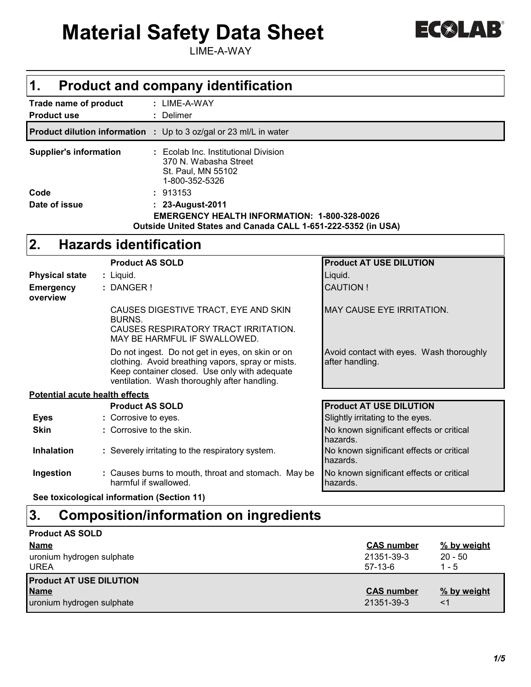# **Material Safety Data Sheet**

LIME-A-WAY

| $\triangle$ LA |  |
|----------------|--|
|----------------|--|

| 1.<br><b>Product and company identification</b>                                                                                                                                                        |                                                             |  |  |  |
|--------------------------------------------------------------------------------------------------------------------------------------------------------------------------------------------------------|-------------------------------------------------------------|--|--|--|
| : LIME-A-WAY<br>Trade name of product<br>: Delimer<br><b>Product use</b>                                                                                                                               |                                                             |  |  |  |
| <b>Product dilution information :</b> Up to 3 oz/gal or 23 ml/L in water                                                                                                                               |                                                             |  |  |  |
| <b>Supplier's information</b><br>: Ecolab Inc. Institutional Division<br>370 N. Wabasha Street<br>St. Paul, MN 55102<br>1-800-352-5326<br>: 913153<br>Code                                             |                                                             |  |  |  |
| Date of issue<br>: 23-August-2011<br><b>EMERGENCY HEALTH INFORMATION: 1-800-328-0026</b><br>Outside United States and Canada CALL 1-651-222-5352 (in USA)                                              |                                                             |  |  |  |
| 2.<br><b>Hazards identification</b>                                                                                                                                                                    |                                                             |  |  |  |
| <b>Product AS SOLD</b>                                                                                                                                                                                 | <b>Product AT USE DILUTION</b>                              |  |  |  |
| <b>Physical state</b><br>: Liquid.<br><b>Emergency</b><br>: DANGER!<br>overview                                                                                                                        | Liquid.<br><b>CAUTION!</b>                                  |  |  |  |
| CAUSES DIGESTIVE TRACT, EYE AND SKIN<br><b>BURNS.</b><br>CAUSES RESPIRATORY TRACT IRRITATION.<br>MAY BE HARMFUL IF SWALLOWED.                                                                          | <b>MAY CAUSE EYE IRRITATION.</b>                            |  |  |  |
| Do not ingest. Do not get in eyes, on skin or on<br>clothing. Avoid breathing vapors, spray or mists.<br>Keep container closed. Use only with adequate<br>ventilation. Wash thoroughly after handling. | Avoid contact with eyes. Wash thoroughly<br>after handling. |  |  |  |
| <b>Potential acute health effects</b>                                                                                                                                                                  |                                                             |  |  |  |
| <b>Product AS SOLD</b>                                                                                                                                                                                 | <b>Product AT USE DILUTION</b>                              |  |  |  |
| : Corrosive to eyes.<br><b>Eyes</b>                                                                                                                                                                    | Slightly irritating to the eyes.                            |  |  |  |
| <b>Skin</b><br>: Corrosive to the skin.                                                                                                                                                                | No known significant effects or critical<br>hazards.        |  |  |  |
| <b>Inhalation</b><br>: Severely irritating to the respiratory system.                                                                                                                                  | No known significant effects or critical<br>hazards.        |  |  |  |
| Ingestion<br>: Causes burns to mouth, throat and stomach. May be<br>harmful if swallowed.                                                                                                              | No known significant effects or critical<br>hazards.        |  |  |  |
| See toxicological information (Section 11)                                                                                                                                                             |                                                             |  |  |  |
| 3.<br><b>Composition/information on ingredients</b>                                                                                                                                                    |                                                             |  |  |  |

| <b>Product AS SOLD</b>                   |                         |                      |
|------------------------------------------|-------------------------|----------------------|
| <b>Name</b>                              | <b>CAS number</b>       | % by weight          |
| uronium hydrogen sulphate<br><b>UREA</b> | 21351-39-3<br>$57-13-6$ | $20 - 50$<br>$1 - 5$ |
| <b>Product AT USE DILUTION</b>           |                         |                      |
| <b>Name</b>                              | <b>CAS number</b>       | % by weight          |
| uronium hydrogen sulphate                | 21351-39-3              | <1                   |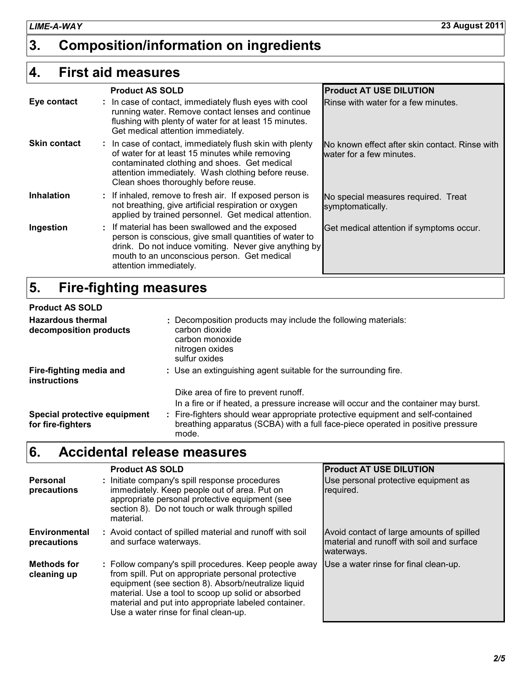# **3. Composition/information on ingredients**

#### **First aid measures 4.**

|                     | <b>Product AS SOLD</b>                                                                                                                                                                                                                                    | <b>Product AT USE DILUTION</b>                                             |
|---------------------|-----------------------------------------------------------------------------------------------------------------------------------------------------------------------------------------------------------------------------------------------------------|----------------------------------------------------------------------------|
| Eye contact         | : In case of contact, immediately flush eyes with cool<br>running water. Remove contact lenses and continue<br>flushing with plenty of water for at least 15 minutes.<br>Get medical attention immediately.                                               | Rinse with water for a few minutes.                                        |
| <b>Skin contact</b> | : In case of contact, immediately flush skin with plenty<br>of water for at least 15 minutes while removing<br>contaminated clothing and shoes. Get medical<br>attention immediately. Wash clothing before reuse.<br>Clean shoes thoroughly before reuse. | No known effect after skin contact. Rinse with<br>water for a few minutes. |
| <b>Inhalation</b>   | : If inhaled, remove to fresh air. If exposed person is<br>not breathing, give artificial respiration or oxygen<br>applied by trained personnel. Get medical attention.                                                                                   | No special measures required. Treat<br>symptomatically.                    |
| Ingestion           | : If material has been swallowed and the exposed<br>person is conscious, give small quantities of water to<br>drink. Do not induce vomiting. Never give anything by<br>mouth to an unconscious person. Get medical<br>attention immediately.              | Get medical attention if symptoms occur.                                   |

#### **Fire-fighting measures 5.**

| <b>Product AS SOLD</b>                             |                                                                                                                                                                                                                                                                                                          |
|----------------------------------------------------|----------------------------------------------------------------------------------------------------------------------------------------------------------------------------------------------------------------------------------------------------------------------------------------------------------|
| <b>Hazardous thermal</b><br>decomposition products | : Decomposition products may include the following materials:<br>carbon dioxide<br>carbon monoxide<br>nitrogen oxides<br>sulfur oxides                                                                                                                                                                   |
| Fire-fighting media and<br><b>instructions</b>     | : Use an extinguishing agent suitable for the surrounding fire.                                                                                                                                                                                                                                          |
| Special protective equipment<br>for fire-fighters  | Dike area of fire to prevent runoff.<br>In a fire or if heated, a pressure increase will occur and the container may burst.<br>Fire-fighters should wear appropriate protective equipment and self-contained<br>breathing apparatus (SCBA) with a full face-piece operated in positive pressure<br>mode. |

#### **Accidental release measures 6.**

|                                     | <b>Product AS SOLD</b>                                                                                                                                                                                                                                                                                                    | <b>Product AT USE DILUTION</b>                                                                       |
|-------------------------------------|---------------------------------------------------------------------------------------------------------------------------------------------------------------------------------------------------------------------------------------------------------------------------------------------------------------------------|------------------------------------------------------------------------------------------------------|
| Personal<br>precautions             | : Initiate company's spill response procedures<br>immediately. Keep people out of area. Put on<br>appropriate personal protective equipment (see<br>section 8). Do not touch or walk through spilled<br>material.                                                                                                         | Use personal protective equipment as<br>required.                                                    |
| <b>Environmental</b><br>precautions | : Avoid contact of spilled material and runoff with soil<br>and surface waterways.                                                                                                                                                                                                                                        | Avoid contact of large amounts of spilled<br>material and runoff with soil and surface<br>waterways. |
| <b>Methods for</b><br>cleaning up   | : Follow company's spill procedures. Keep people away<br>from spill. Put on appropriate personal protective<br>equipment (see section 8). Absorb/neutralize liquid<br>material. Use a tool to scoop up solid or absorbed<br>material and put into appropriate labeled container.<br>Use a water rinse for final clean-up. | Use a water rinse for final clean-up.                                                                |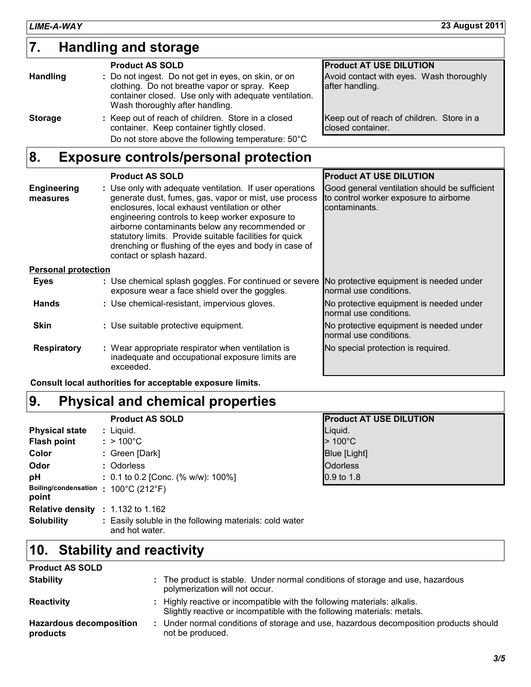## **Handling and storage 7.**

|                 | <b>Product AS SOLD</b>                                                                                                                                                                           | <b>Product AT USE DILUTION</b>                                 |
|-----------------|--------------------------------------------------------------------------------------------------------------------------------------------------------------------------------------------------|----------------------------------------------------------------|
| <b>Handling</b> | : Do not ingest. Do not get in eyes, on skin, or on<br>clothing. Do not breathe vapor or spray. Keep<br>container closed. Use only with adequate ventilation.<br>Wash thoroughly after handling. | Avoid contact with eyes. Wash thoroughly<br>after handling.    |
| <b>Storage</b>  | : Keep out of reach of children. Store in a closed<br>container. Keep container tightly closed.<br>Do not store above the following temperature: 50°C                                            | Keep out of reach of children. Store in a<br>closed container. |

#### **Exposure controls/personal protection 8.**

|                                | <b>Product AS SOLD</b>                                                                                                                                                                                                                                                                                                                                                                                                    | <b>Product AT USE DILUTION</b>                                                                           |
|--------------------------------|---------------------------------------------------------------------------------------------------------------------------------------------------------------------------------------------------------------------------------------------------------------------------------------------------------------------------------------------------------------------------------------------------------------------------|----------------------------------------------------------------------------------------------------------|
| <b>Engineering</b><br>measures | : Use only with adequate ventilation. If user operations<br>generate dust, fumes, gas, vapor or mist, use process<br>enclosures, local exhaust ventilation or other<br>engineering controls to keep worker exposure to<br>airborne contaminants below any recommended or<br>statutory limits. Provide suitable facilities for quick<br>drenching or flushing of the eyes and body in case of<br>contact or splash hazard. | Good general ventilation should be sufficient<br>to control worker exposure to airborne<br>contaminants. |
| <b>Personal protection</b>     |                                                                                                                                                                                                                                                                                                                                                                                                                           |                                                                                                          |
| <b>Eyes</b>                    | : Use chemical splash goggles. For continued or severe<br>exposure wear a face shield over the goggles.                                                                                                                                                                                                                                                                                                                   | No protective equipment is needed under<br>normal use conditions.                                        |
| <b>Hands</b>                   | : Use chemical-resistant, impervious gloves.                                                                                                                                                                                                                                                                                                                                                                              | No protective equipment is needed under<br>normal use conditions.                                        |
| <b>Skin</b>                    | : Use suitable protective equipment.                                                                                                                                                                                                                                                                                                                                                                                      | No protective equipment is needed under<br>normal use conditions.                                        |
| <b>Respiratory</b>             | : Wear appropriate respirator when ventilation is<br>inadequate and occupational exposure limits are<br>exceeded.                                                                                                                                                                                                                                                                                                         | No special protection is required.                                                                       |

**Consult local authorities for acceptable exposure limits.**

# **Physical and chemical properties 9.**

|                                               | <b>Product AS SOLD</b>                                                    | <b>Product AT USE DILUTION</b> |
|-----------------------------------------------|---------------------------------------------------------------------------|--------------------------------|
| <b>Physical state</b>                         | $:$ Liquid.                                                               | Liquid.                        |
| <b>Flash point</b>                            | $:$ > 100°C                                                               | $>100^{\circ}$ C               |
| Color                                         | : Green [Dark]                                                            | Blue [Light]                   |
| Odor                                          | : Odorless                                                                | <b>Odorless</b>                |
| pH                                            | $: 0.1$ to 0.2 [Conc. (% w/w): 100%]                                      | $0.9$ to 1.8                   |
| Boiling/condensation : 100°C (212°F)<br>point |                                                                           |                                |
| <b>Relative density</b>                       | $: 1.132$ to 1.162                                                        |                                |
| <b>Solubility</b>                             | : Easily soluble in the following materials: cold water<br>and hot water. |                                |

# **Stability and reactivity 10.**

| <b>Product AS SOLD</b>                     |                                                                                                                                                     |
|--------------------------------------------|-----------------------------------------------------------------------------------------------------------------------------------------------------|
| <b>Stability</b>                           | : The product is stable. Under normal conditions of storage and use, hazardous<br>polymerization will not occur.                                    |
| <b>Reactivity</b>                          | : Highly reactive or incompatible with the following materials: alkalis.<br>Slightly reactive or incompatible with the following materials: metals. |
| <b>Hazardous decomposition</b><br>products | Under normal conditions of storage and use, hazardous decomposition products should<br>not be produced.                                             |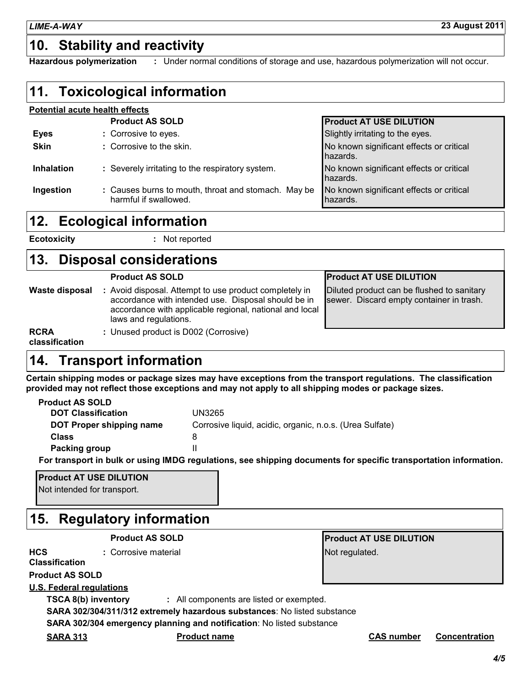## **10. Stability and reactivity**

**Hazardous polymerization :** Under normal conditions of storage and use, hazardous polymerization will not occur.

| 11. Toxicological information |                                                                              |                                                      |  |  |
|-------------------------------|------------------------------------------------------------------------------|------------------------------------------------------|--|--|
|                               | Potential acute health effects                                               |                                                      |  |  |
|                               | <b>Product AS SOLD</b>                                                       | <b>Product AT USE DILUTION</b>                       |  |  |
| <b>Eyes</b>                   | : Corrosive to eyes.                                                         | Slightly irritating to the eyes.                     |  |  |
| <b>Skin</b>                   | : Corrosive to the skin.                                                     | No known significant effects or critical<br>hazards. |  |  |
| <b>Inhalation</b>             | : Severely irritating to the respiratory system.                             | No known significant effects or critical<br>hazards. |  |  |
| Ingestion                     | : Causes burns to mouth, throat and stomach. May be<br>harmful if swallowed. | No known significant effects or critical<br>hazards. |  |  |

#### **Ecological information 12.**

**Ecotoxicity :**

: Not reported

#### **Disposal considerations 13.**

|                               | <b>Product AS SOLD</b>                                                                                                                                                                            | <b>Product AT USE DILUTION</b>                                                         |
|-------------------------------|---------------------------------------------------------------------------------------------------------------------------------------------------------------------------------------------------|----------------------------------------------------------------------------------------|
| Waste disposal                | : Avoid disposal. Attempt to use product completely in<br>accordance with intended use. Disposal should be in<br>accordance with applicable regional, national and local<br>laws and regulations. | Diluted product can be flushed to sanitary<br>sewer. Discard empty container in trash. |
| <b>RCRA</b><br>classification | : Unused product is D002 (Corrosive)                                                                                                                                                              |                                                                                        |

# **14. Transport information**

**Certain shipping modes or package sizes may have exceptions from the transport regulations. The classification provided may not reflect those exceptions and may not apply to all shipping modes or package sizes.**

| <b>Product AS SOLD</b>    |                                                          |
|---------------------------|----------------------------------------------------------|
| <b>DOT Classification</b> | UN3265                                                   |
| DOT Proper shipping name  | Corrosive liquid, acidic, organic, n.o.s. (Urea Sulfate) |
| Class                     |                                                          |
| Packing group             |                                                          |
|                           |                                                          |

**For transport in bulk or using IMDG regulations, see shipping documents for specific transportation information.**

### **Product AT USE DILUTION** Not intended for transport.

### **Regulatory information 15.**

|                                     | <b>Product AS SOLD</b>                                                   | <b>Product AT USE DILUTION</b>            |
|-------------------------------------|--------------------------------------------------------------------------|-------------------------------------------|
| <b>HCS</b><br><b>Classification</b> | : Corrosive material                                                     | Not regulated.                            |
| <b>Product AS SOLD</b>              |                                                                          |                                           |
| <b>U.S. Federal regulations</b>     |                                                                          |                                           |
| <b>TSCA 8(b) inventory</b>          | : All components are listed or exempted.                                 |                                           |
|                                     | SARA 302/304/311/312 extremely hazardous substances: No listed substance |                                           |
|                                     | SARA 302/304 emergency planning and notification: No listed substance    |                                           |
| <b>SARA 313</b>                     | <b>Product name</b>                                                      | <b>CAS number</b><br><b>Concentration</b> |